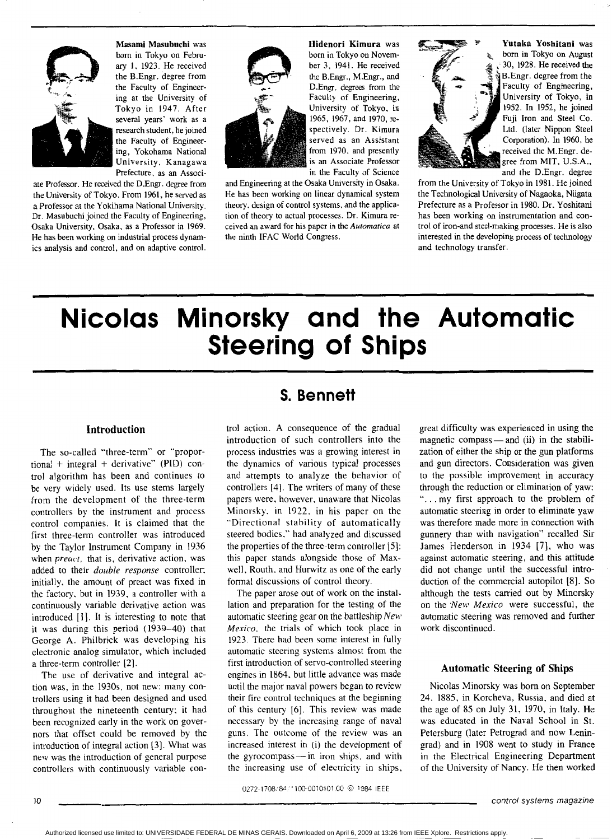

**Masami Masubuchi** was born in Tokyo on Febm*aq* 1. 1923. He received the B.Engr. degree from the Faculty of Engineer ing at the University of Tokyo in 1947. After<br>several years' work as a Tokyo in 1947. After research student, he joined the Faculty of Engineering, Yokohama National University, Kanagawa Prefecture, as an Associ-

ate Professor. He received the D.Engr. degree from the University of Tokyo. From 1961, he served as a Professor at the Yokihama National University. Dr. Masubuchi joined the Faculty of Engineering, Osaka University, Osaka, as a Professor in 1969. He has been working on industrial process dynamics analysis and control, and on adaptive control.



**Hidenori Kimura** was born in Tokyo on November 3. 1941. He received the B.Engr., M.Engr., and D.Engr. degrees from the Faculty of Engineering, University of Tokyo, in 1965. 1967. and 1970, respectively. Dr. Kimura served as an Assistant from 1970. and presently is an Associate Professor in the Faculty of Science

and Engineering at the Osaka University in Osaka. He has been working on linear dynamical system theory, design of control systems, and the application of theory to actual processes. Dr. Kimura received **an** award for his paper in the *Automatica* at the ninth lFAC World Congress.



**F--** \* **Yutaka Yoshitani** was born in Tokyo on August **a** ~ 30, 1928. He received the B.Engr. degree from the Faculty of Engineering, University of Tokyo, in 1952. In 1952, he joined Fuji Iron and Steel Co. Ltd. (later Nippon Steel Corporation). In 1960, he received the M.Engr. degree from MIT, U.S.A., and the D.Engr. degree

from the University of Tokyo in 1981. He joined the Technological University of Nagaoka, Niigata Prefecture **as** a Professor in 1980. Dr. **Yoshitani**  has been working on instrumentation and control of iron-and steel-making processes. He **is** also interested in the developing process of technology and technology transfer.

# **Nicolas Minorsky and the Automatic Steering of Ships**

#### **Introduction**

The so-called "three-term" or "proportional + integral + derivative" (PID) control algorithm has been and continues to be very widely used. Its use stems largely from the development of the three-term controllers by the instrument and process control companies. It is claimed that the first three-term controller was introduced by the Taylor Instrument Company in 1936 when *preacr,* that is, derivative action. was added to their *double response* controller: initially. the amount of preact was fixed in the factory. but in 1939. a controller with a continuously variable derivative action was introduced [I]. It is interesting to note that it was during this period (1939-40) that George **A.** Philbrick was developing his electronic analog simulator, which included a three-tern controller *[2].* 

The use of derivative and integral action was. in the 1930s. not new: many controllers using it had been designed and used throughout the nineteenth century: it had been recognized early in the work on governors that offset could be removed by the introduction of integral action (31. What was new was the introduction of general purpose controllers with continuously variable con-

## **s. Bennett**

trol action. **A** consequence of the gradual introduction of such controllers into the process industries was a growing interest in the dynamics of various typical processes and attempts to analyze the behavior of controllers (41. The writers of many of these papers were, however. unaware that Nicolas Minorsky. in 1922. in his paper on the "Directional stability of automatically steered bodies." had analyzed and discussed the properties of the three-term controller **[SI:**  this paper stands alongside those of Maxwell, Routh. and Hurwitz as one of the early formal discussions of control theory.

The paper arose out of work on the installation and preparation for the testing of the automatic steering gear on the battleship *New*  Mexico, the trials of which took place in 1923. There had been some interest in fully automatic steering systems almost from the first introduction of servo-controlled steering engines in 1864. but little advance was made until the major naval powers began to review their fire control techniques at the beginning of this century *[6].* This review was made necessary by the increasing range of naval guns. The outcome of the review was an increased interest in (i) the development of the gyrocompass -- in iron ships, and with the increasing use of electricity in ships. great difficulty was experienced in using the magnetic compass — and (ii) in the stabilization of either the ship or the gun platforms and gun directors. Consideration was given to the possible improvement in accuracy through the reduction or elimination of yaw: "... my first approach to the problem of automatic steering in order to eliminate yaw was therefore made more in connection with gunnery than with navigation" recalled Sir James Henderson in 1934 [7], who **was**  against automatic steering, and this attitude did not change until the successful introduction of the commercial autopilot [8]. So although the tests carried out by Minorsky on the *.New Mexico* were successful, the automatic steering was removed and further work discontinued.

#### **Automatic Steering of Ships**

Nicolas Minorsky was born on September 24. 1885, in Korcheva, Russia. and died at the age of 85 on July 31. 1970, in Italy. He was educated in the Naval School in St. Petersburg (later Petrograd and now Leningrad) and in 1908 went to study in France in the Electrical Engineering Department of the University of Nancy. He then worked

0272-1708/84/1100-0010\$01.00 @ 1984 IEEE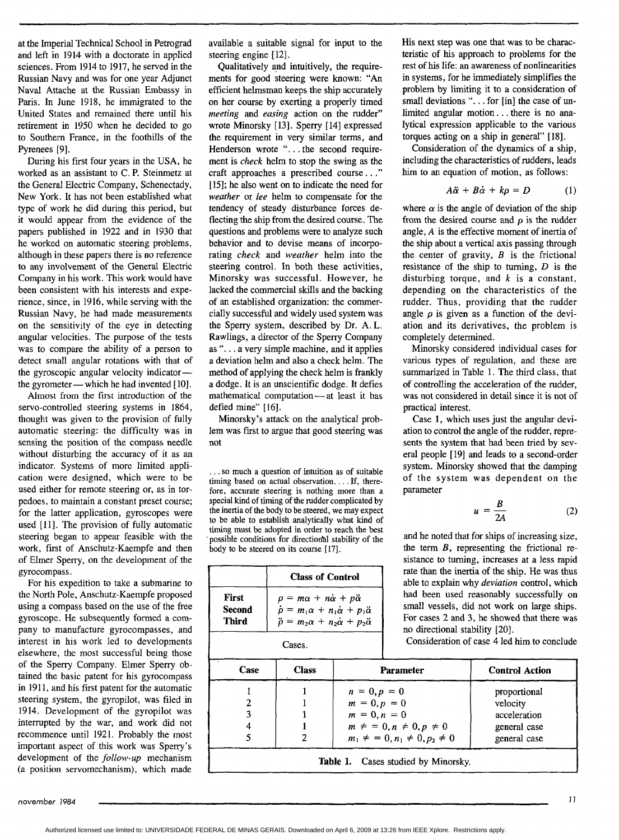at the Imperial Technical School in Petrograd and left in 1914 with a doctorate in applied sciences. From 1914 to 1917, he served in the Russian Navy and was for one year Adjunct Naval Attache at the Russian Embassy in Paris. In June 1918, he immigrated to the United States and remained there until his retirement in 1950 when he decided to go to Southern France, in the foothills of the Pyrenees [9].

During his first four years in the USA, he worked as an assistant to C. **P.** Steinmetz at the General Electric Company, Schenectady, New York. It has not been established what type of work he did during this period, but it would appear from the evidence of the papers published in 1922 and in 1930 that he worked on automatic steering problems, although in these papers there is no reference to any involvement of the General Electric Company in his work. This work would have been consistent with his interests and experience, since, in 1916, while serving with the Russian Navy, he had made measurements on the sensitivity of the eye in detecting angular velocities. The purpose of the tests was to compare the ability of a person to detect small angular rotations with that of the gyroscopic angular velocity indicatorthe gyrometer — which he had invented  $[10]$ .

Almost from the first introduction of the servo-controlled steering systems in 1864, thought was given to the provision of fully automatic steering: the difficulty was in sensing the position of the compass needle without disturbing the accuracy of it as an indicator. Systems of more limited application were designed, which were to be used either for remote steering or, as in torpedoes, to maintain a constant preset course; for the latter application, gyroscopes were used [11]. The provision of fully automatic steering began to appear feasible with the work, first of Anschutz-Kaempfe and then of Elmer Sperry, on the development of the gyrocompass.

For his expedition to take a submarine to the North Pole, Anschutz-Kaempfe proposed using a compass based on the use of the free gyroscope. He subsequently formed a company to manufacture gyrocompasses, and interest in his work led to developments elsewhere, the most successful being those of the Sperry Company. Elmer Sperry obtained the basic patent for his gyrocompass in 1911, and his first patent for the automatic steering system, the gyropilot, was filed in 1914. Development of the gyropilot was interrupted by the war, and work did not recommence until 1921. Probably the most important aspect of this work was Sperry's development of the *follow-up* mechanism (a position servomechanism), which made

available a suitable signal for input to the steering engine [12].

Qualitatively and intuitively, the requirements for good steering were known: *"An*  efficient helmsman keeps the ship accurately on her course by exerting a properly timed *meeting* and *easing* action on the rudder" wrote Minorsky [13]. Sperry [14] expressed the requirement in very similar terms, and Henderson wrote ". . .the second requirement is *check* helm to stop the swing as the craft approaches a prescribed course. . ." [ **151;** he also went on to indicate the need for *weather* or *lee* helm to compensate for the tendency of steady disturbance forces deflecting the ship from the desired course. The questions and problems were to analyze such behavior and to devise means of incorporating *check* and *weather* helm into the steering control. In both these activities, Minorsky was successful. However, he lacked the commercial skills and the backing of an established organization: the commercially successful and widely used system was the Sperry system, described by Dr. A. **L.**  Rawlings, a director of the Sperry Company as *I'.* . . a very simple machine, and it applies a deviation helm and also a check helm. The method of applying the check helm is frankly a dodge. It is an unscientific dodge. It defies mathematical computation-at least it has defied mine" [16].

Minorsky's attack on the analytical problem was first to argue that good steering was not

. . . so much a question of intuition as of suitable timing based on actual observation. . . . If, therefore, accurate steering is nothing more than a special kind of timing of the rudder complicated by the inertia of the body to be steered, we may expect to be able to establish analytically what kind of timing must be adopted in order to reach the best possible conditions for directional stability of the body to be steered on its course [17].

|                                 | <b>Class of Control</b>                                                                                                                                                                    |  |
|---------------------------------|--------------------------------------------------------------------------------------------------------------------------------------------------------------------------------------------|--|
| <b>First</b><br>Second<br>Third | $\rho = m\alpha + n\dot{\alpha} + p\ddot{\alpha}$<br>$\dot{\rho} = m_1 \alpha + n_1 \dot{\alpha} + p_1 \ddot{\alpha}$<br>$\ddot{\rho} = m_2 \alpha + n_2 \dot{\alpha} + p_2 \ddot{\alpha}$ |  |
|                                 | Cases.                                                                                                                                                                                     |  |

His next step was one that was to be characteristic of his approach to problems for the rest of his life: an awareness of nonlinearities in systems, for he immediately simplifies the problem by limiting it to a consideration of small deviations "... for [in] the case of unlimited angular motion. . . there is no analytical expression applicable to the various torques acting on a ship in general" [18].

Consideration of the dynamics of a ship, including the characteristics of rudders, leads him to an equation of motion, as follows:

$$
A\ddot{\alpha} + B\dot{\alpha} + k\rho = D \qquad (1)
$$

where  $\alpha$  is the angle of deviation of the ship from the desired course and  $\rho$  is the rudder angle, *A* is the effective moment of inertia of the ship about a vertical axis passing through the center of gravity, *B* is the frictional resistance of the ship to turning, *D* is the disturbing torque, and *k* is a constant, depending on the characteristics of the rudder. Thus, providing that the rudder angle  $\rho$  is given as a function of the deviation and its derivatives, the problem **is**  completely determined.

Minorsky considered individual cases for various types of regulation, and these are summarized in Table 1. The third class, that of controlling the acceleration of the rudder, was not considered in detail since it is not of practical interest.

Case **1,** which uses just the angular deviation to control the angle of the rudder, represents the system that had been tried by several people **[19]** and leads to a second-order system. Minorsky showed that the damping of the system was dependent on the parameter

$$
u = \frac{B}{2A}
$$
 (2)

and he noted that for ships of increasing size, the term *B,* representing the frictional resistance to turning, increases at a less rapid rate than the inertia of the ship. He was thus able to explain why *deviation* control, which had been used reasonably successfully on small vessels, did not work on large ships. For cases 2 and 3, he showed that there was no directional stability [20].

Consideration of case **4** led him to conclude

| Case | <b>Class</b> | <b>Parameter</b>                     | <b>Control Action</b> |
|------|--------------|--------------------------------------|-----------------------|
|      |              | $n = 0, p = 0$                       | proportional          |
|      |              | $m = 0, p = 0$                       | velocity              |
| 3    |              | $m = 0, n = 0$                       | acceleration          |
| 4    |              | $m \neq 0, n \neq 0, p \neq 0$       | general case          |
|      |              | $m_1 \neq 0, n_1 \neq 0, p_2 \neq 0$ | general case          |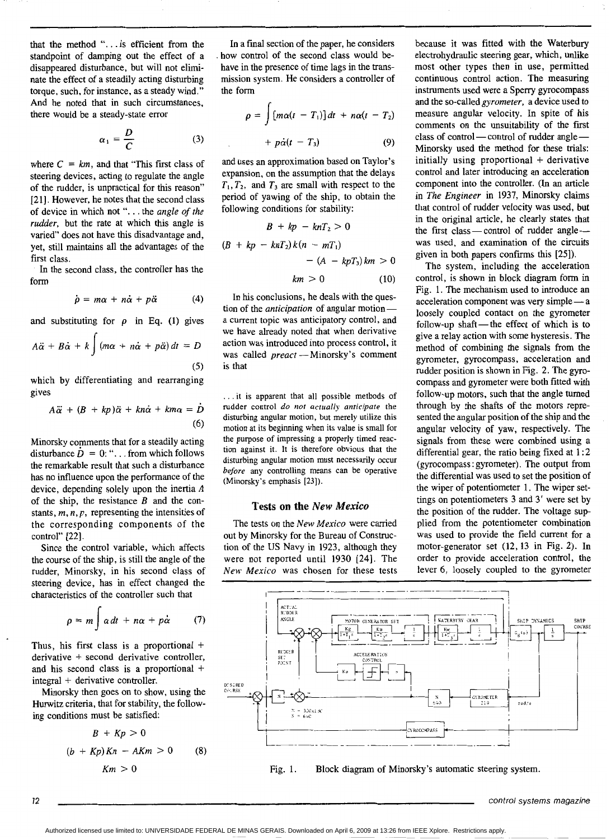that the method ". . . is efficient from the standpoint of damping out the effect of a disappeared disturbance, but will not eliminate the effect of a steadily acting disturbing torque, such, for instance, as a steady wind." And he noted that in such circumstances, there would be a steady-state error

$$
\alpha_1 = \frac{D}{C}
$$
 (3)

where  $C = km$ , and that "This first class of steering devices, acting to regulate the angle of the rudder, is unpractical for this reason" [21]. However, he notes that the second class of device in which not ". . . the *angle of the rudder,* but the rate at which this angle is varied" does not have this disadvantage and, yet, still maintains all the advantages of the first class.

In the second class, the controller has the form

$$
\dot{\rho} = m\alpha + n\dot{\alpha} + p\ddot{\alpha} \qquad (4)
$$

and substituting for  $\rho$  in Eq. (1) gives *r* 

$$
A\ddot{\alpha} + B\dot{\alpha} + k \int (m\alpha + n\dot{\alpha} + p\ddot{\alpha}) dt = D
$$
\n(5)

which **by** differentiating and rearranging gives

$$
A\ddot{\alpha} + (B + kp)\ddot{\alpha} + kn\dot{\alpha} + km\alpha = \dot{D}
$$
\n(6)

Minorsky comments that for a steadily acting disturbance  $\dot{D} = 0$ : "... from which follows the remarkable result that such a disturbance has no influence upon the performance of the device, depending solely upon the inertia *A*  of the ship, the resistance *B* and the constants,  $m, n, p$ , representing the intensities of the corresponding components of the control" [22].

Since the control variable, which affects the course of the ship, is still the angle of the rudder, Minorsky, in his second class of steering device, has in effect changed the characteristics of the controller such that

$$
\rho = m \int \alpha \, dt + n \alpha + p \dot{\alpha} \qquad (7)
$$

Thus, his first class is a proportional + derivative + second derivative controller, and his second class is a proportional + integral + derivative controller.

Minorsky then goes on to show, using the Hurwitz criteria, that for stability, the following conditions must be satisfied:

$$
B + Kp > 0
$$
  
(b + Kp)Kn - AKm > 0 (8)  

$$
Km > 0
$$

In a final section of the paper, he considers how control of the second class would behave in the presence of time lags in the transmission system. He considers a controller of the form

$$
\rho = \int [m\alpha(t - T_1)]dt + n\alpha(t - T_2)
$$
  
+  $p\dot{\alpha}(t - T_3)$  (9)

and uses an approximation based on Taylor's expansion, on the assumption that the delays  $T_1, T_2$ , and  $T_3$  are small with respect to the period of yawing of the ship, to obtain the following conditions for stability:

$$
B + kp - knT_2 > 0
$$
  
(
$$
B + kp - knT_2)k(n - mT_1)
$$
  

$$
- (A - kpT_3)km > 0
$$
  
(10)

In his conclusions, he deals with the question of the *anticipation* of angular motiona current topic was anticipatory control, and we have already noted that when derivative action was introduced into process control, it we have already holed that when derivative<br>action was introduced into process control, it<br>was called *preact* -- Minorsky's comment is that

. . .it is apparent that all possible methods of rudder control *do not actually anticipate* the disturbing angular motion, but merely utilize this motion at its beginning when its **value** is small for the purpose **of** impressing a properly timed reaction against it. It is therefore obvious that the disturbing angular motion must necessarily occur *before* any controlling means can be operative (Minorsky's emphasis [23]).

#### **Tests on the** *New Mexico*

The tests on the *New Mexico* were carried out by Minorsky for the Bureau of Construction of the **US** Navy **in** 1923, although they were not reported until 1930 [24]. The *New Mexico* was chosen for these tests

because it **was** fitted with the Waterbury electrohydraulic steering gear, which, unlike most other types then in use, permitted continuous control action. The measuring instruments used were a Sperry gyrocompass and the so-called *gyrometer,* a device used to measure angular velocity. In spite of his comments on the unsuitability of the first class of control-control of rudder angle-Minorsky used the method for these trials: initially using proportional + derivative control and later introducing an acceleration component into the controller. (In an article in *The Engineer* in 1937, Minorsky claims that control of rudder velocity was used, but in the original article, he clearly states that the first class  $-$  control of rudder angle $$ was used, and examination of the circuits given in both papers confirms this [25]).

The system, including the acceleration control, is shown in block diagram form in Fig. 1. The mechanism used to introduce **an**  acceleration component was very simple- a loosely coupled contact on the gyrometer follow-up shaft-the effect of which is to give a relay action with some hysteresis. The method of combining the signals from the gyrometer, gyrocompass, acceleration and rudder position is shown in Fig. **2.** The gyrocompass and gyrometer were both fitted with follow-up motors, such that the angle **turned**  through by the shafts of the motors represented the angular position of the ship and the angular velocity of yaw, respectively. The signals from these were combined using a differential gear, the ratio being fixed at 1 : **2**  (gyrocompass : gyrometer). The output from the differential was used to set the position of the wiper of potentiometer 1. The wiper settings on potentiometers 3 and 3' were set by the position of the rudder. The voltage **sup**  plied from the potentiometer combination **was** used to provide the field current for a motor-generator set (12,13 in Fig. 2). In order to provide acceleration control, the lever 6, loosely coupled to the gyrometer



Fig. 1. Block diagram of Minorsky's automatic steering system.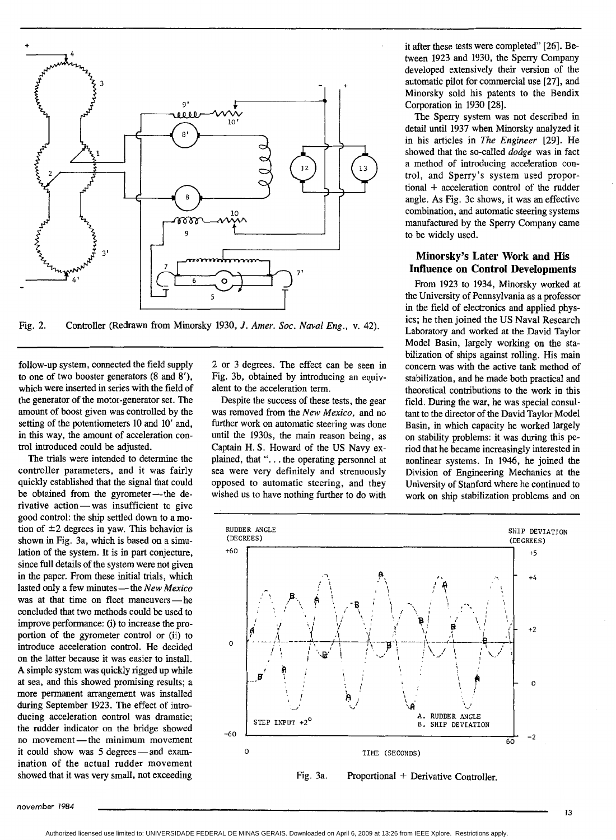

Fig. 2. Controller (Redrawn from Minorsky 1930, *J. Amer. Soc. Naval Eng.*, v. 42).

follow-up system, connected the field supply to one of two booster generators (8 and 8'), which were inserted in series with the field of the generator **of** the motor-generator set. The amount of boost given was controlled by the setting of the potentiometers **10** and **10'** and, in this way, the amount of acceleration control introduced could be adjusted.

The trials were intended to determine the controller parameters, and it was fairly quickly established that the signal that could be obtained from the gyrometer-the dequickly established that the signal that could<br>be obtained from the gyrometer—the d<br>rivative action—was insufficient to give good control: the ship settled down to a motion of  $\pm 2$  degrees in yaw. This behavior is shown in Fig. 3a, which is based on a simulation of the system. It is in part conjecture, since full details of the system were not given in the paper. From these initial trials, which since full details of the system were not given<br>in the paper. From these initial trials, which<br>lasted only a few minutes — the *New Mexico*<br>paper of the thing and flatter manufacture was at that time on fleet maneuvers-he concluded that two methods could be used to improve performance: (i) to increase the proportion of the gyrometer control or (ii) to introduce acceleration control. He decided on the latter because it was easier to install. **A** simple system was quickly rigged up while at sea, and this showed promising results; a more permanent arrangement was installed during September 1923. The effect of introducing acceleration control was dramatic; the rudder indicator on the bridge showed no ducing acceleration control was dramatic<br>the rudder indicator on the bridge showed<br>no movement - the minimum movement<br>it could show was followed and show it could show was 5 degrees-and examination of the actual rudder movement showed that it was very small, not exceeding

*2* or 3 degrees. The effect can be seen in Fig. 3b, obtained by introducing an equivalent to the acceleration term.

Despite the success of these tests, the gear was removed from the *New Mexico,* and no further work on automatic steering was done until the 1930s, the main reason being, as Captain H. *S.* Howard of the US Navy explained, that ". . . the operating personnel at sea were very definitely and strenuously opposed to automatic steering, and they wished us to have nothing further to do with it after these tests were completed" [26]. Between 1923 and 1930, the Sperry Company developed extensively their version of the automatic pilot for commercial use [27], and Minorsky sold his patents to the Bendix Corporation in 1930 [28].

The Sperry system was not described in detail until 1937 when Minorsky analyzed it in his articles in *The Engineer* [29]. He showed that the so-called *dodge* was in fact a method of introducing acceleration control, and Sperry's system used proportional + acceleration control of the rudder angle. **As** Fig. 3c shows, it was an effective combination, and automatic steering systems manufactured by the Sperry Company came to be widely used.

### **Minorsky's Later Work and His Influence on Control Developments**

From 1923 to 1934, Minorsky worked at the University of Pennsylvania as a professor in the field of electronics and applied physics; he then joined the US Naval Research Laboratory and worked at the David Taylor Model Basin, largely working on the stabilization of ships against rolling. **His** main concern was with the active tank method of stabilization, and he made both practical and theoretical contributions to the work in this field. During the war, he was special consultant to the director of the David Taylor Model Basin, in which capacity he worked largely on stability problems: it was during this period that he became increasingly interested in nonlinear systems. In 1946, he joined the Division of Engineering Mechanics at the University of Stanford where he continued to work on ship stabilization problems and on



Fig. 3a. Proportional + Derivative Controller.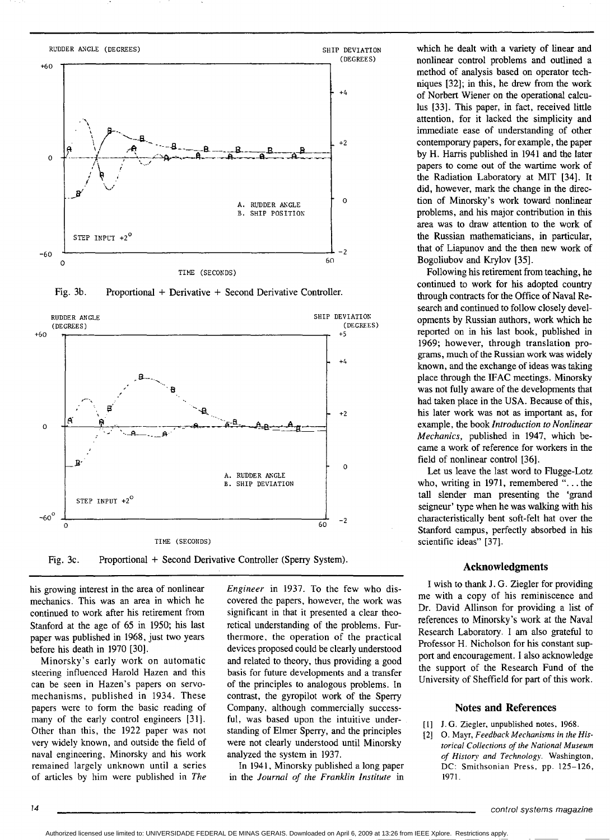

Fig. 3b. Proportional + Derivative + Second Derivative Controller.



Fig. 3c. Proportional + Second Derivative Controller (Sperry System).

his growing interest in the area of nonlinear mechanics. This was an area in which he continued to work after his retirement from Stanford at the age of 65 in 1950; his last paper was published in 1968, just two years before his death in 1970 [30].

Minorsky's early work on automatic steering influenced Harold Hazen and this can be seen in Hazen's papers on servomechanisms, published in 1934. These papers were to form the basic reading of many of the early control engineers [31]. Other than this, the 1922 paper was not very widely known, and outside the field of naval engineering, Minorsky and his work remained largely unknown until a series of articles by him were published in *The* 

*Engineer* in 1937. To the few who discovered the papers, however, the work was significant in that it presented a clear theoretical understanding of the problems. Furthermore. the operation of the practical devices proposed could be clearly understood and related to theory, thus providing a good basis for future developments and a transfer of the principles to analogous problems. In contrast, the gyropilot work of the Sperry Company, although commercially successful, was based upon the intuitive understanding of Elmer Speny, and the principles were not clearly understood until Minorsky analyzed the system in 1937.

In 1941, Minorsky published a long paper **in** the *Journal* of *the Franklin Institute* in

which he dealt with a variety of linear and nonlinear control problems and outlined a method of analysis based on operator techniques [32]; in this, he drew from the work of Norbert Wiener on the operational calculus [33]. This paper, in fact, received little attention, for it lacked the simplicity and immediate ease of understanding of other contemporary papers, for example, the paper by H. Harris published in 1941 and the later papers **to** come out of the wartime work of the Radiation Laboratory at MIT [34]. It did, however, mark the change in the direction of Minorsky's work toward nonlinear problems, and his major contribution in this area was to draw attention to the work of the Russian mathematicians, in particular, that of Liapunov and the then new work of Bogoliubov and Krylov [35].

Following his retirement from teaching, he continued to work for his adopted country through contracts for the Office of Naval Research and continued to follow closely developments by Russian authors, work which he reported on in **his** last book, published in 1969; however, through translation programs, much of the Russian work was widely known, and the exchange of ideas was **taking**  place through the IFAC meetings. Minorsky was not fully aware of the developments that had taken place in the **USA.** Because of **this,**  his later work was not **as** important as, for example, the book *Introduction to Nonlinear Mechanics,* published in 1947, which became a work of reference for workers in the field of nonlinear control *[36].* 

Let us leave the last word to Flugge-Lotz who, writing in 1971, remembered ". . . the tall slender man presenting the 'grand seigneur' type when he was walking with **his**  characteristically bent soft-felt hat over the Stanford campus, perfectly absorbed in his scientific ideas" [37].

#### **Acknowledgments**

I wish to thank **J.** G. Ziegler for providing me with a copy of his reminiscence and Dr. David Allinson for providing a list of references to Minorsky's **work** at the Naval Research Laboratory. I am also grateful to Professor H. Nicholson for his constant support and encouragement. **I** also acknowledge the support of the Research Fund of the University of Shefield for part of this work.

#### **Notes and References**

- [l] **J.G.** Ziezler. unpublished notes, 1968.
- *[2] 0.* May. *Feedback Mechanisms in the Historical Collections of rhe National Museum of Histo? nnd Technolog!.* Washington, DC: Smithsonian Press. **pp.** 125-126, 1971.

~ ~ ~~ ~~

Authorized licensed use limited to: UNIVERSIDADE FEDERAL DE MINAS GERAIS. Downloaded on April 6, 2009 at 13:26 from IEEE Xplore. Restrictions apply.